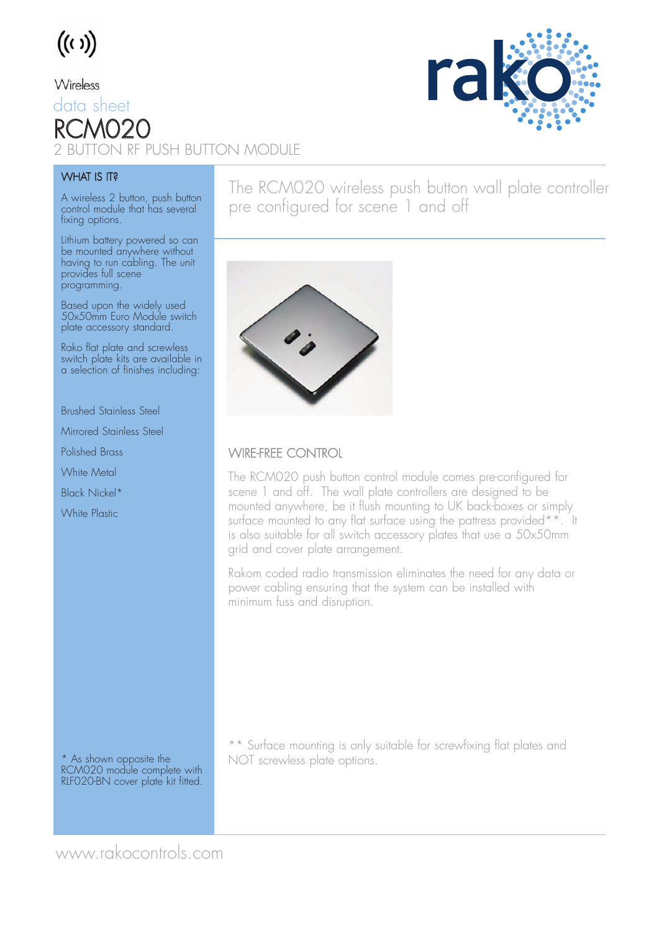

### Wireless

data sheet RCMO2 2 DN RF PUSH BUTTON MODULE



#### **WHAT IS IT?**

A wireless 2 button, push button control module that has several fixing options.

Lithium battery powered so can be mounted anywhere without having to run cabling. The unit provides full scene programming.

Based upon the widely used 50x50mm Euro Module switch plate accessory standard.

Rako flat plate and screwless switch plate kits are available in a selection of finishes including:

Brushed Stainless Steel

Mirrored Stainless Steel

Polished Brass

White Metal

Black Nickel\*

White Plastic

The RCM020 wireless push button wall plate controller pre configured for scene 1 and off



### WIRE-FREE CONTROL

The RCM020 push button control module comes pre-configured for scene 1 and off. The wall plate controllers are designed to be mounted anywhere, be it flush mounting to UK back-boxes or simply surface mounted to any flat surface using the pattress provided\*\*. It is also suitable for all switch accessory plates that use a 50x50mm grid and cover plate arrangement.

Rakom coded radio transmission eliminates the need for any data or power cabling ensuring that the system can be installed with minimum fuss and disruption.

\* As shown opposite the RCM020 module complete with RLF020-BN cover plate kit fitted.

\*\* Surface mounting is only suitable for screwfixing flat plates and NOT screwless plate options.

www.rakocontrols.com